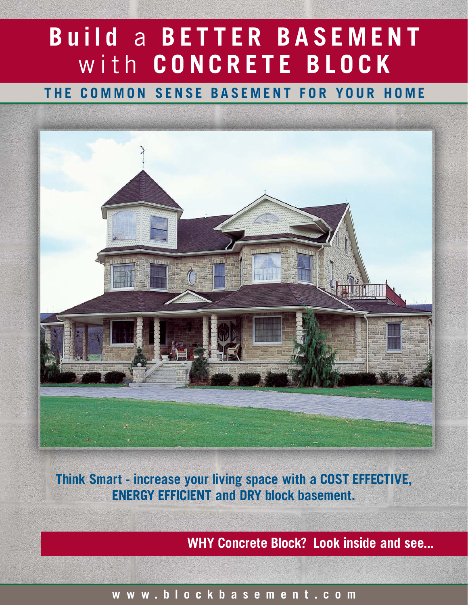# Build a BETTER BASEMENT with CONCRETE BLOCK

THE COMMON SENSE BASEMENT FOR YOUR HOME



Think Smart - increase your living space with a COST EFFECTIVE, ENERGY EFFICIENT and DRY block basement.

WHY Concrete Block? Look inside and see...

# www.blockbasement.com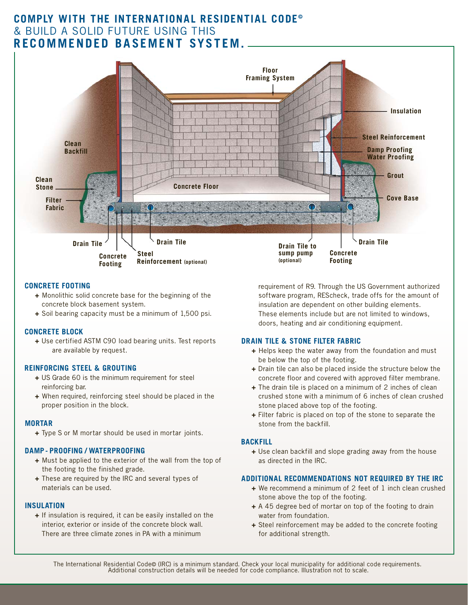# COMPLY WITH THE INTERNATIONAL RESIDENTIAL CODE<sup>®</sup> & BUILD A SOLID FUTURE USING THIS RECOMMENDED BASEMENT SYSTEM.



#### CONCRETE FOOTING

- + Monolithic solid concrete base for the beginning of the concrete block basement system.
- + Soil bearing capacity must be a minimum of 1,500 psi.

#### CONCRETE BLOCK

+ Use certified ASTM C90 load bearing units. Test reports are available by request.

#### REINFORCING STEEL & GROUTING

- + US Grade 60 is the minimum requirement for steel reinforcing bar.
- + When required, reinforcing steel should be placed in the proper position in the block.

#### MORTAR

+ Type S or M mortar should be used in mortar joints.

#### DAMP - PROOFING / WATERPROOFING

- + Must be applied to the exterior of the wall from the top of the footing to the finished grade.
- + These are required by the IRC and several types of materials can be used.

#### INSULATION

+ If insulation is required, it can be easily installed on the interior, exterior or inside of the concrete block wall. There are three climate zones in PA with a minimum

requirement of R9. Through the US Government authorized software program, REScheck, trade offs for the amount of insulation are dependent on other building elements. These elements include but are not limited to windows, doors, heating and air conditioning equipment.

#### DRAIN TILE & STONE FILTER FABRIC

- + Helps keep the water away from the foundation and must be below the top of the footing.
- + Drain tile can also be placed inside the structure below the concrete floor and covered with approved filter membrane.
- + The drain tile is placed on a minimum of 2 inches of clean crushed stone with a minimum of 6 inches of clean crushed stone placed above top of the footing.
- + Filter fabric is placed on top of the stone to separate the stone from the backfill.

#### BACKFILL

+ Use clean backfill and slope grading away from the house as directed in the IRC.

#### ADDITIONAL RECOMMENDATIONS NOT REQUIRED BY THE IRC

- + We recommend a minimum of 2 feet of 1 inch clean crushed stone above the top of the footing.
- + A 45 degree bed of mortar on top of the footing to drain water from foundation.
- + Steel reinforcement may be added to the concrete footing for additional strength.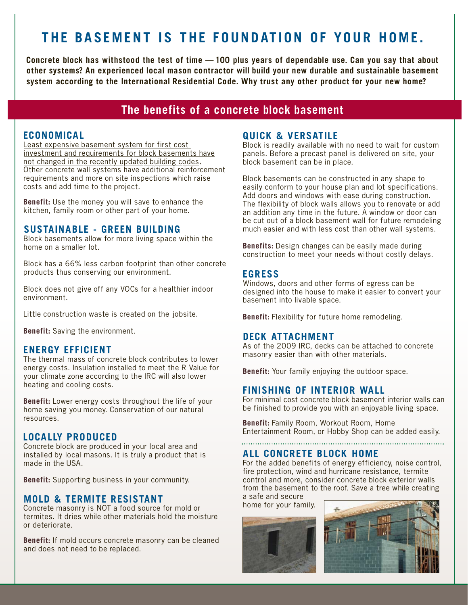# THE BASEMENT IS THE FOUNDATION OF YOUR HOME.

Concrete block has withstood the test of time — 100 plus years of dependable use. Can you say that about other systems? An experienced local mason contractor will build your new durable and sustainable basement system according to the International Residential Code. Why trust any other product for your new home?

# The benefits of a concrete block basement

#### ECONOMICAL

Least expensive basement system for first cost investment and requirements for block basements have not changed in the recently updated building codes. Other concrete wall systems have additional reinforcement requirements and more on site inspections which raise costs and add time to the project.

Benefit: Use the money you will save to enhance the kitchen, family room or other part of your home.

### SUSTAINABLE - GREEN BUILDING

Block basements allow for more living space within the home on a smaller lot.

Block has a 66% less carbon footprint than other concrete products thus conserving our environment.

Block does not give off any VOCs for a healthier indoor environment.

Little construction waste is created on the jobsite.

Benefit: Saving the environment.

#### ENERGY EFFICIENT

The thermal mass of concrete block contributes to lower energy costs. Insulation installed to meet the R Value for your climate zone according to the IRC will also lower heating and cooling costs.

Benefit: Lower energy costs throughout the life of your home saving you money. Conservation of our natural resources.

## LOCALLY PRODUCED

Concrete block are produced in your local area and installed by local masons. It is truly a product that is made in the USA.

Benefit: Supporting business in your community.

### **MOLD & TERMITE RESISTANT**

Concrete masonry is NOT a food source for mold or termites. It dries while other materials hold the moisture or deteriorate.

Benefit: If mold occurs concrete masonry can be cleaned and does not need to be replaced.

## QUICK & VERSATILE

Block is readily available with no need to wait for custom panels. Before a precast panel is delivered on site, your block basement can be in place.

Block basements can be constructed in any shape to easily conform to your house plan and lot specifications. Add doors and windows with ease during construction. The flexibility of block walls allows you to renovate or add an addition any time in the future. A window or door can be cut out of a block basement wall for future remodeling much easier and with less cost than other wall systems.

Benefits: Design changes can be easily made during construction to meet your needs without costly delays.

#### EGRESS

Windows, doors and other forms of egress can be designed into the house to make it easier to convert your basement into livable space.

Benefit: Flexibility for future home remodeling.

#### DECK ATTACHMENT

As of the 2009 IRC, decks can be attached to concrete masonry easier than with other materials.

Benefit: Your family enjoying the outdoor space.

#### FINISHING OF INTERIOR WALL

For minimal cost concrete block basement interior walls can be finished to provide you with an enjoyable living space.

Benefit: Family Room, Workout Room, Home Entertainment Room, or Hobby Shop can be added easily.

## ALL CONCRETE BLOCK HOME

For the added benefits of energy efficiency, noise control, fire protection, wind and hurricane resistance, termite control and more, consider concrete block exterior walls from the basement to the roof. Save a tree while creating a safe and secure

home for your family.